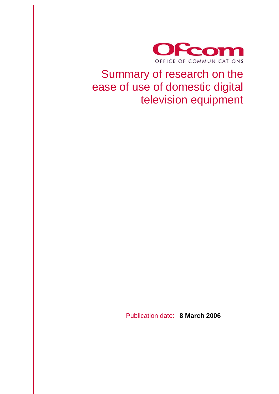

Summary of research on the ease of use of domestic digital television equipment

Publication date: **8 March 2006**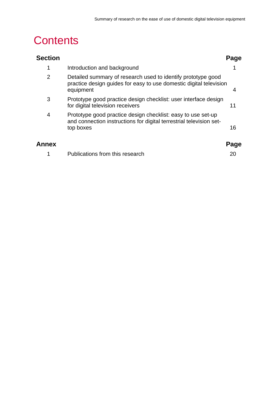# **Contents**

| <b>Section</b> |                                                                                                                                                  | Page |
|----------------|--------------------------------------------------------------------------------------------------------------------------------------------------|------|
| 1              | Introduction and background                                                                                                                      |      |
| $\overline{2}$ | Detailed summary of research used to identify prototype good<br>practice design guides for easy to use domestic digital television<br>equipment  | 4    |
| 3              | Prototype good practice design checklist: user interface design<br>for digital television receivers                                              | 11   |
| 4              | Prototype good practice design checklist: easy to use set-up<br>and connection instructions for digital terrestrial television set-<br>top boxes | 16   |
| Annex          |                                                                                                                                                  | Page |
|                | Publications from this research                                                                                                                  | 20   |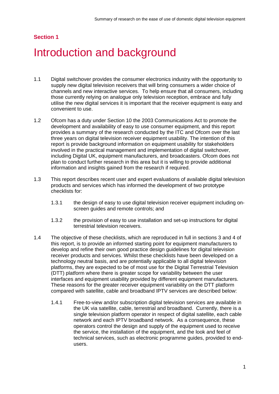# **Section 1**

# Introduction and background

- 1.1 Digital switchover provides the consumer electronics industry with the opportunity to supply new digital television receivers that will bring consumers a wider choice of channels and new interactive services. To help ensure that all consumers, including those currently relying on analogue only television reception, embrace and fully utilise the new digital services it is important that the receiver equipment is easy and convenient to use.
- 1.2 Ofcom has a duty under Section 10 the 2003 Communications Act to promote the development and availability of easy to use consumer equipment, and this report provides a summary of the research conducted by the ITC and Ofcom over the last three years on digital television receiver equipment usability. The intention of this report is provide background information on equipment usability for stakeholders involved in the practical management and implementation of digital switchover, including Digital UK, equipment manufacturers, and broadcasters. Ofcom does not plan to conduct further research in this area but it is willing to provide additional information and insights gained from the research if required.
- 1.3 This report describes recent user and expert evaluations of available digital television products and services which has informed the development of two prototype checklists for:
	- 1.3.1 the design of easy to use digital television receiver equipment including onscreen guides and remote controls; and
	- 1.3.2 the provision of easy to use installation and set-up instructions for digital terrestrial television receivers.
- 1.4 The objective of these checklists, which are reproduced in full in sections 3 and 4 of this report, is to provide an informed starting point for equipment manufacturers to develop and refine their own good practice design guidelines for digital television receiver products and services. Whilst these checklists have been developed on a technology neutral basis, and are potentially applicable to all digital television platforms, they are expected to be of most use for the Digital Terrestrial Television (DTT) platform where there is greater scope for variability between the user interfaces and equipment usability provided by different equipment manufacturers. These reasons for the greater receiver equipment variability on the DTT platform compared with satellite, cable and broadband IPTV services are described below:
	- 1.4.1 Free-to-view and/or subscription digital television services are available in the UK via satellite, cable, terrestrial and broadband. Currently, there is a single television platform operator in respect of digital satellite, each cable network and each IPTV broadband network. As a consequence, these operators control the design and supply of the equipment used to receive the service, the installation of the equipment, and the look and feel of technical services, such as electronic programme guides, provided to endusers.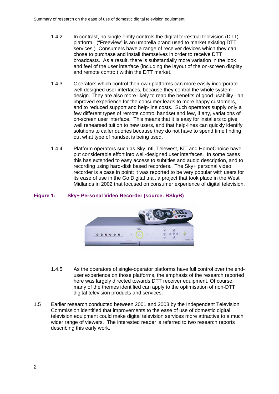- 1.4.2 In contrast, no single entity controls the digital terrestrial television (DTT) platform. ("Freeview" is an umbrella brand used to market existing DTT services.) Consumers have a range of receiver devices which they can chose to purchase and install themselves in order to receive DTT broadcasts. As a result, there is substantially more variation in the look and feel of the user interface (including the layout of the on-screen display and remote control) within the DTT market.
- 1.4.3 Operators which control their own platforms can more easily incorporate well designed user interfaces, because they control the whole system design. They are also more likely to reap the benefits of good usability - an improved experience for the consumer leads to more happy customers, and to reduced support and help-line costs. Such operators supply only a few different types of remote control handset and few, if any, variations of on-screen user interface. This means that it is easy for installers to give well rehearsed tuition to new users, and that help-lines can quickly identify solutions to caller queries because they do not have to spend time finding out what type of handset is being used.
- 1.4.4 Platform operators such as Sky, ntl, Telewest, KiT and HomeChoice have put considerable effort into well-designed user interfaces. In some cases this has extended to easy access to subtitles and audio description, and to recording using hard-disk based recorders. The Sky+ personal video recorder is a case in point; it was reported to be very popular with users for its ease of use in the Go Digital trial, a project that took place in the West Midlands in 2002 that focused on consumer experience of digital television.

### **Figure 1: Sky+ Personal Video Recorder (source: BSkyB)**



- 1.4.5 As the operators of single-operator platforms have full control over the enduser experience on those platforms, the emphasis of the research reported here was largely directed towards DTT receiver equipment. Of course, many of the themes identified can apply to the optimisation of non-DTT digital television products and services.
- 1.5 Earlier research conducted between 2001 and 2003 by the Independent Television Commission identified that improvements to the ease of use of domestic digital television equipment could make digital television services more attractive to a much wider range of viewers. The interested reader is referred to two research reports describing this early work.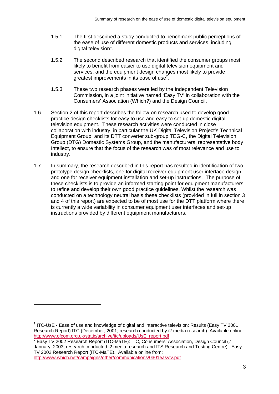- 1.5.1 The first described a study conducted to benchmark public perceptions of the ease of use of different domestic products and services, including digital television<sup>1</sup>.
- 1.5.2 The second described research that identified the consumer groups most likely to benefit from easier to use digital television equipment and services, and the equipment design changes most likely to provide greatest improvements in its ease of use<sup>2</sup>.
- 1.5.3 These two research phases were led by the Independent Television Commission, in a joint initiative named 'Easy TV' in collaboration with the Consumers' Association (Which?) and the Design Council.
- 1.6 Section 2 of this report describes the follow-on research used to develop good practice design checklists for easy to use and easy to set-up domestic digital television equipment. These research activities were conducted in close collaboration with industry, in particular the UK Digital Television Project's Technical Equipment Group, and its DTT converter sub-group TEG-C, the Digital Television Group (DTG) Domestic Systems Group, and the manufacturers' representative body Intellect, to ensure that the focus of the research was of most relevance and use to industry.
- 1.7 In summary, the research described in this report has resulted in identification of two prototype design checklists, one for digital receiver equipment user interface design and one for receiver equipment installation and set-up instructions. The purpose of these checklists is to provide an informed starting point for equipment manufacturers to refine and develop their own good practice guidelines. Whilst the research was conducted on a technology neutral basis these checklists (provided in full in section 3 and 4 of this report) are expected to be of most use for the DTT platform where there is currently a wide variability in consumer equipment user interfaces and set-up instructions provided by different equipment manufacturers.

 $1$  ITC-UsE - Ease of use and knowledge of digital and interactive television: Results (Easy TV 2001 Research Report) ITC (December, 2001; research conducted by i2 media research). Available online: http://www.ofcom.org.uk/static/archive/itc/uploads/UsE\_report.pdf <sup>2</sup>

<sup>&</sup>lt;sup>2</sup> Easy TV 2002 Research Report (ITC-MaTE): ITC, Consumers' Association, Design Council (7 January, 2003; research conducted i2 media research and ITS Research and Testing Centre). Easy TV 2002 Research Report (ITC-MaTE). Available online from:

http://www.which.net/campaigns/other/communications/0301easytv.pdf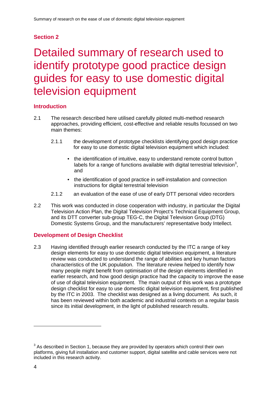# **Section 2**

# Detailed summary of research used to identify prototype good practice design guides for easy to use domestic digital television equipment

### **Introduction**

- 2.1 The research described here utilised carefully piloted multi-method research approaches, providing efficient, cost-effective and reliable results focussed on two main themes:
	- 2.1.1 the development of prototype checklists identifying good design practice for easy to use domestic digital television equipment which included:
		- the identification of intuitive, easy to understand remote control button labels for a range of functions available with digital terrestrial television<sup>3</sup>, and
		- the identification of good practice in self-installation and connection instructions for digital terrestrial television
	- 2.1.2 an evaluation of the ease of use of early DTT personal video recorders
- 2.2 This work was conducted in close cooperation with industry, in particular the Digital Television Action Plan, the Digital Television Project's Technical Equipment Group, and its DTT converter sub-group TEG-C, the Digital Television Group (DTG) Domestic Systems Group, and the manufacturers' representative body Intellect.

# **Development of Design Checklist**

2.3 Having identified through earlier research conducted by the ITC a range of key design elements for easy to use domestic digital television equipment, a literature review was conducted to understand the range of abilities and key human factors characteristics of the UK population. The literature review helped to identify how many people might benefit from optimisation of the design elements identified in earlier research, and how good design practice had the capacity to improve the ease of use of digital television equipment. The main output of this work was a prototype design checklist for easy to use domestic digital television equipment, first published by the ITC in 2003. The checklist was designed as a living document. As such, it has been reviewed within both academic and industrial contexts on a regular basis since its initial development, in the light of published research results.

 $3$  As described in Section 1, because they are provided by operators which control their own platforms, giving full installation and customer support, digital satellite and cable services were not included in this research activity.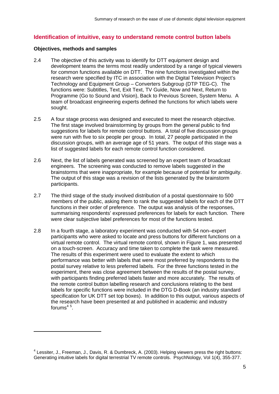#### **Identification of intuitive, easy to understand remote control button labels**

#### **Objectives, methods and samples**

- 2.4 The objective of this activity was to identify for DTT equipment design and development teams the terms most readily understood by a range of typical viewers for common functions available on DTT. The nine functions investigated within the research were specified by ITC in association with the Digital Television Project's Technology and Equipment Group – Converters Subgroup (DTP TEG-C). The functions were: Subtitles, Text, Exit Text, TV Guide, Now and Next, Return to Programme (Go to Sound and Vision), Back to Previous Screen, System Menu. A team of broadcast engineering experts defined the functions for which labels were sought.
- 2.5 A four stage process was designed and executed to meet the research objective. The first stage involved brainstorming by groups from the general public to find suggestions for labels for remote control buttons. A total of five discussion groups were run with five to six people per group. In total, 27 people participated in the discussion groups, with an average age of 51 years. The output of this stage was a list of suggested labels for each remote control function considered.
- 2.6 Next, the list of labels generated was screened by an expert team of broadcast engineers. The screening was conducted to remove labels suggested in the brainstorms that were inappropriate, for example because of potential for ambiguity. The output of this stage was a revision of the lists generated by the brainstorm participants.
- 2.7 The third stage of the study involved distribution of a postal questionnaire to 500 members of the public, asking them to rank the suggested labels for each of the DTT functions in their order of preference. The output was analysis of the responses, summarising respondents' expressed preferences for labels for each function. There were clear subjective label preferences for most of the functions tested.
- 2.8 In a fourth stage, a laboratory experiment was conducted with 54 non–expert participants who were asked to locate and press buttons for different functions on a virtual remote control. The virtual remote control, shown in Figure 1, was presented on a touch-screen. Accuracy and time taken to complete the task were measured. The results of this experiment were used to evaluate the extent to which performance was better with labels that were most preferred by respondents to the postal survey relative to less preferred labels. For the three functions tested in the experiment, there was close agreement between the results of the postal survey, with participants finding preferred labels faster and more accurately. The results of the remote control button labelling research and conclusions relating to the best labels for specific functions were included in the DTG D-Book (an industry standard specification for UK DTT set top boxes). In addition to this output, various aspects of the research have been presented at and published in academic and industry forums $45$ .

<sup>&</sup>lt;sup>4</sup> Lessiter, J., Freeman, J., Davis, R. & Dumbreck, A. (2003). Helping viewers press the right buttons: Generating intuitive labels for digital terrestrial TV remote controls. PsychNology, Vol 1(4), 355-377.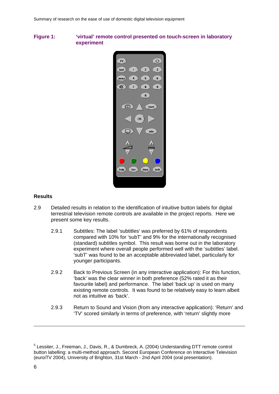#### **Figure 1: 'virtual' remote control presented on touch-screen in laboratory experiment**



#### **Results**

- 2.9 Detailed results in relation to the identification of intuitive button labels for digital terrestrial television remote controls are available in the project reports. Here we present some key results.
	- 2.9.1 Subtitles: The label 'subtitles' was preferred by 61% of respondents compared with 10% for 'subT' and 9% for the internationally recognised (standard) subtitles symbol. This result was borne out in the laboratory experiment where overall people performed well with the 'subtitles' label. 'subT' was found to be an acceptable abbreviated label, particularly for younger participants.
	- 2.9.2 Back to Previous Screen (in any interactive application): For this function, 'back' was the clear winner in both preference (52% rated it as their favourite label) and performance. The label 'back up' is used on many existing remote controls. It was found to be relatively easy to learn albeit not as intuitive as 'back'.
	- 2.9.3 Return to Sound and Vision (from any interactive application): 'Return' and 'TV' scored similarly in terms of preference, with 'return' slightly more

<sup>&</sup>lt;sup>5</sup> Lessiter, J., Freeman, J., Davis, R., & Dumbreck, A. (2004) Understanding DTT remote control button labelling: a multi-method approach. Second European Conference on Interactive Television (euroiTV 2004), University of Brighton, 31st March - 2nd April 2004 (oral presentation).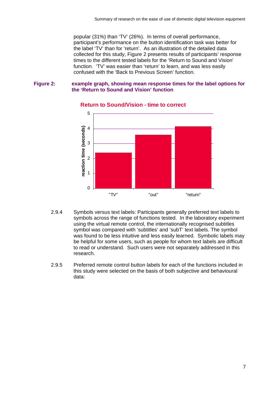popular (31%) than 'TV' (26%). In terms of overall performance, participant's performance on the button identification task was better for the label 'TV' than for 'return'. As an illustration of the detailed data collected for this study, Figure 2 presents results of participants' response times to the different tested labels for the 'Return to Sound and Vision' function. 'TV' was easier than 'return' to learn, and was less easily confused with the 'Back to Previous Screen' function.

#### **Figure 2: example graph, showing mean response times for the label options for the 'Return to Sound and Vision' function**



#### **Return to Sound/Vision - time to correct**

- 2.9.4 Symbols versus text labels: Participants generally preferred text labels to symbols across the range of functions tested. In the laboratory experiment using the virtual remote control, the internationally recognised subtitles symbol was compared with 'subtitles' and 'subT' text labels. The symbol was found to be less intuitive and less easily learned. Symbolic labels may be helpful for some users, such as people for whom text labels are difficult to read or understand. Such users were not separately addressed in this research.
- 2.9.5 Preferred remote control button labels for each of the functions included in this study were selected on the basis of both subjective and behavioural data: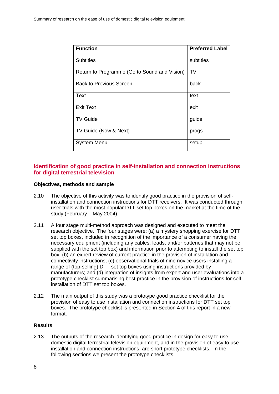| <b>Function</b>                              | <b>Preferred Label</b> |
|----------------------------------------------|------------------------|
| <b>Subtitles</b>                             | subtitles              |
| Return to Programme (Go to Sound and Vision) | <b>TV</b>              |
| <b>Back to Previous Screen</b>               | back                   |
| Text                                         | text                   |
| <b>Exit Text</b>                             | exit                   |
| <b>TV Guide</b>                              | guide                  |
| TV Guide (Now & Next)                        | progs                  |
| <b>System Menu</b>                           | setup                  |

### **Identification of good practice in self-installation and connection instructions for digital terrestrial television**

#### **Objectives, methods and sample**

- 2.10 The objective of this activity was to identify good practice in the provision of selfinstallation and connection instructions for DTT receivers. It was conducted through user trials with the most popular DTT set top boxes on the market at the time of the study (February – May 2004).
- 2.11 A four stage multi-method approach was designed and executed to meet the research objective. The four stages were: (a) a mystery shopping exercise for DTT set top boxes, included in recognition of the importance of a consumer having the necessary equipment (including any cables, leads, and/or batteries that may not be supplied with the set top box) and information prior to attempting to install the set top box; (b) an expert review of current practice in the provision of installation and connectivity instructions; (c) observational trials of nine novice users installing a range of (top-selling) DTT set top boxes using instructions provided by manufacturers; and (d) integration of insights from expert and user evaluations into a prototype checklist summarising best practice in the provision of instructions for selfinstallation of DTT set top boxes.
- 2.12 The main output of this study was a prototype good practice checklist for the provision of easy to use installation and connection instructions for DTT set top boxes. The prototype checklist is presented in Section 4 of this report in a new format.

#### **Results**

2.13 The outputs of the research identifying good practice in design for easy to use domestic digital terrestrial television equipment, and in the provision of easy to use installation and connection instructions, are short prototype checklists. In the following sections we present the prototype checklists.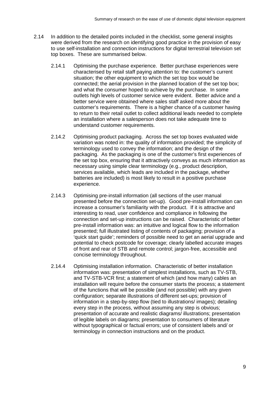- 2.14 In addition to the detailed points included in the checklist, some general insights were derived from the research on identifying good practice in the provision of easy to use self-installation and connection instructions for digital terrestrial television set top boxes. These are summarised below.
	- 2.14.1 Optimising the purchase experience. Better purchase experiences were characterised by retail staff paying attention to: the customer's current situation; the other equipment to which the set top box would be connected; the aerial provision in the planned location of the set top box; and what the consumer hoped to achieve by the purchase. In some outlets high levels of customer service were evident. Better advice and a better service were obtained where sales staff asked more about the customer's requirements. There is a higher chance of a customer having to return to their retail outlet to collect additional leads needed to complete an installation where a salesperson does not take adequate time to understand customer requirements.
	- 2.14.2 Optimising product packaging. Across the set top boxes evaluated wide variation was noted in: the quality of information provided; the simplicity of terminology used to convey the information; and the design of the packaging. As the packaging is one of the customer's first experiences of the set top box, ensuring that it attractively conveys as much information as necessary using simple clear terminology (e.g., product description, services available, which leads are included in the package, whether batteries are included) is most likely to result in a positive purchase experience.
	- 2.14.3 Optimising pre-install information (all sections of the user manual presented before the connection set-up). Good pre-install information can increase a consumer's familiarity with the product. If it is attractive and interesting to read, user confidence and compliance in following the connection and set-up instructions can be raised. Characteristic of better pre-install information was: an intuitive and logical flow to the information presented; full illustrated listing of contents of packaging; provision of a 'quick start guide'; reminders of possible need to get an aerial upgrade and potential to check postcode for coverage; clearly labelled accurate images of front and rear of STB and remote control; jargon-free, accessible and concise terminology throughout.
	- 2.14.4 Optimising installation information. Characteristic of better installation information was: presentation of simplest installations, such as TV-STB, and TV-STB-VCR first; a statement of which (and how many) cables an installation will require before the consumer starts the process; a statement of the functions that will be possible (and not possible) with any given configuration; separate illustrations of different set-ups; provision of information in a step-by-step flow (tied to illustrations/ images); detailing every step in the process, without assuming any step is obvious; presentation of accurate and realistic diagrams/ illustrations; presentation of legible labels on diagrams; presentation to consumers of literature without typographical or factual errors; use of consistent labels and/ or terminology in connection instructions and on the product.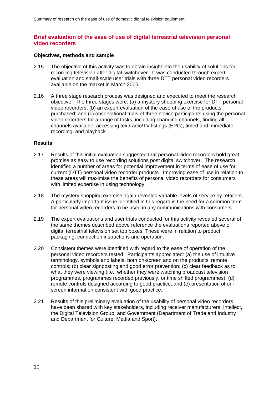### **Brief evaluation of the ease of use of digital terrestrial television personal video recorders**

#### **Objectives, methods and sample**

- 2.15 The objective of this activity was to obtain insight into the usability of solutions for recording television after digital switchover. It was conducted through expert evaluation and small-scale user trials with three DTT personal video recorders available on the market in March 2005.
- 2.16 A three stage research process was designed and executed to meet the research objective. The three stages were: (a) a mystery shopping exercise for DTT personal video recorders; (b) an expert evaluation of the ease of use of the products purchased; and (c) observational trials of three novice participants using the personal video recorders for a range of tasks, including changing channels, finding all channels available, accessing text/radio/TV listings (EPG), timed and immediate recording, and playback.

#### **Results**

- 2.17 Results of this initial evaluation suggested that personal video recorders hold great promise as easy to use recording solutions post digital switchover. The research identified a number of areas for potential improvement in terms of ease of use for current (DTT) personal video recorder products. Improving ease of use in relation to these areas will maximise the benefits of personal video recorders for consumers with limited expertise in using technology.
- 2.18 The mystery shopping exercise again revealed variable levels of service by retailers. A particularly important issue identified in this regard is the need for a common term for personal video recorders to be used in any communications with consumers.
- 2.19 The expert evaluations and user trials conducted for this activity revealed several of the same themes described above reference the evaluations reported above of digital terrestrial television set top boxes. These were in relation to product packaging, connection instructions and operation.
- 2.20 Consistent themes were identified with regard to the ease of operation of the personal video recorders tested. Participants appreciated: (a) the use of intuitive terminology, symbols and labels, both on-screen and on the products' remote controls; (b) clear signposting and good error prevention; (c) clear feedback as to what they were viewing (i.e., whether they were watching broadcast television programmes, programmes recorded previously, or time shifted programmes); (d) remote controls designed according to good practice; and (e) presentation of onscreen information consistent with good practice.
- 2.21 Results of this preliminary evaluation of the usability of personal video recorders have been shared with key stakeholders, including receiver manufacturers, Intellect, the Digital Television Group, and Government (Department of Trade and Industry and Department for Culture, Media and Sport).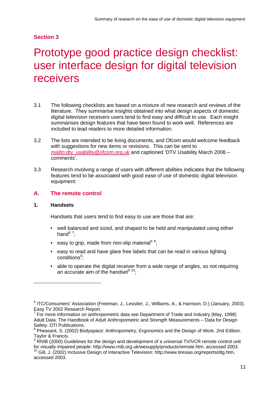# **Section 3**

# Prototype good practice design checklist: user interface design for digital television receivers

- 3.1 The following checklists are based on a mixture of new research and reviews of the literature. They summarise insights obtained into what design aspects of domestic digital television receivers users tend to find easy and difficult to use. Each insight summarises design features that have been found to work well. References are included to lead readers to more detailed information.
- 3.2 The lists are intended to be living documents, and Ofcom would welcome feedback with suggestions for new items or revisions. This can be sent to mailto:dty\_usability@ofcom.org.uk and captioned 'DTV Usability March 2006 – comments'.
- 3.3 Research involving a range of users with different abilities indicates that the following features tend to be associated with good ease of use of domestic digital television equipment:

#### **A. The remote control**

#### **1. Handsets**

Handsets that users tend to find easy to use are those that are:

- well balanced and sized, and shaped to be held and manipulated using either hand $6.7$ ;
- easy to grip, made from non-slip material<sup>68</sup>;
- easy to read and have glare free labels that can be read in various lighting conditions<sup>9</sup>;
- able to operate the digital receiver from a wide range of angles, so not requiring an accurate aim of the handset $910$ :

<sup>&</sup>lt;sup>6</sup> ITC/Consumers' Association (Freeman, J., Lessiter, J., Williams, A., & Harrison, D.) (January, 2003). Easy TV 2002 Research Report.

 $7$  For more information on anthropometric data see Department of Trade and Industry (May, 1998) Adult Data: The Handbook of Adult Anthropometric and Strength Measurements – Data for Design Safety. DTI Publications.

<sup>&</sup>lt;sup>8</sup> Pheasant, S. (2002) Bodyspace: Anthropometry, Ergonomics and the Design of Work. 2nd Edition. Taylor & Francis.

 $9$  RNIB (2000) Guidelines for the design and development of a universal TV/VCR remote control unit

for visually impaired people: http://www.rnib.org.uk/wesupply/products/remote.htm, accessed 2003.<br><sup>10</sup> Gill, J. (2002) Inclusive Design of Interactive Television: http://www.tiresias.org/reports/dtg.htm, accessed 2003.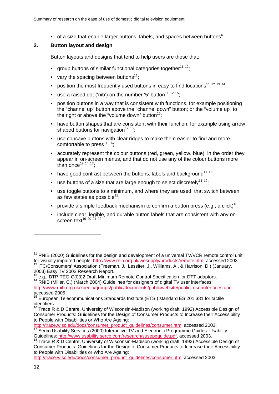• of a size that enable larger buttons, labels, and spaces between buttons $6$ .

#### **2. Button layout and design**

Button layouts and designs that tend to help users are those that:

- group buttons of similar functional categories together $11 12$ .
- vary the spacing between buttons $11$ :
- position the most frequently used buttons in easy to find locations<sup>11 12 13 14</sup>;
- use a raised dot ('nib') on the number '5' button $11$   $12$   $15$ .
- position buttons in a way that is consistent with functions, for example positioning the "channel up" button above the "channel down" button; or the "volume up" to the right or above the "volume down" button $16$ ;
- have button shapes that are consistent with their function, for example using arrow shaped buttons for navigation<sup>12 16</sup>:
- use concave buttons with clear ridges to make them easier to find and more comfortable to press<sup>11 16</sup>:
- accurately represent the colour buttons (red, green, yellow, blue), in the order they appear in on-screen menus, and that do not use any of the colour buttons more than once<sup>12 14 17</sup>.
- have good contrast between the buttons, labels and background<sup>11 16</sup>:
- use buttons of a size that are large enough to select discretely<sup>11 12</sup>:
- use toggle buttons to a minimum, and where they are used, that switch between as few states as possible<sup>11</sup>;
- provide a simple feedback mechanism to confirm a button press (e.g., a click)<sup>18</sup>;
- include clear, legible, and durable button labels that are consistent with any onscreen text<sup>19'20</sup><sup>21</sup><sup>22</sup>.

http://trace.wisc.edu/docs/consumer\_product\_guidelines/consumer.htm, accessed 2003.

http://trace.wisc.edu/docs/consumer\_product\_guidelines/consumer.htm, accessed 2003.

<sup>&</sup>lt;sup>11</sup> RNIB (2000) Guidelines for the design and development of a universal TV/VCR remote control unit for visually impaired people: http://www.rnib.org.uk/wesupply/products/remote.htm, accessed 2003.

<sup>12</sup> ITC/Consumers' Association (Freeman, J., Lessiter, J., Williams, A., & Harrison, D.) (January, 2003) Easy TV 2002 Research Report.

<sup>&</sup>lt;sup>13</sup> e.g., DTP-TEG-C(03)2 Draft Minimum Remote Control Specification for DTT adaptors.<br><sup>14</sup> RNIB (Miller, C.) (March 2004) Guidelines for designers of digital TV user interfaces:

http://www.rnib.org.uk/xpedio/groups/public/documents/publicwebsite/public\_userinterfaces.doc, accessed 2005.

<sup>&</sup>lt;sup>15</sup> European Telecommunications Standards Institute (ETSI) standard ES 201 381 for tactile identifiers.

 $16$  Trace R & D Centre, University of Wisconsin-Madison (working draft, 1992) Accessible Design of Consumer Products: Guidelines for the Design of Consumer Products to Increase their Accessibility to People with Disabilities or Who Are Ageing:

<sup>&</sup>lt;sup>17</sup> Serco Usability Services (2000) Interactive TV and Electronic Programme Guides: Usability Guidelines: http://www.usability.serco.com/research/susepgguide.pdf, accessed 2003.

<sup>&</sup>lt;sup>18</sup> Trace R & D Centre, University of Wisconsin-Madison (working draft, 1992) Accessible Design of Consumer Products: Guidelines for the Design of Consumer Products to Increase their Accessibility to People with Disabilities or Who Are Ageing: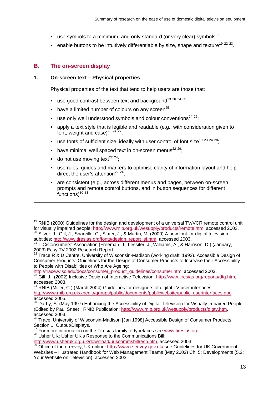- use symbols to a minimum, and only standard (or very clear) symbols $^{22}$ ;
- enable buttons to be intuitively differentiable by size, shape and texture<sup>19 22 23</sup>.

### **B. The on-screen display**

#### **1. On-screen text – Physical properties**

Physical properties of the text that tend to help users are those that:

- use good contrast between text and background<sup>19 20 24 25</sup>:
- have a limited number of colours on any screen<sup>25</sup>:
- use only well understood symbols and colour conventions<sup>24 26</sup>;
- apply a text style that is legible and readable (e.g., with consideration given to font, weight and case)<sup>20 24 27</sup>:
- use fonts of sufficient size, ideally with user control of font size<sup>19 23 24 28</sup>:
- have minimal well spaced text in on-screen menus<sup>22 29</sup>:
- $\bullet$  do not use moving text<sup>22 24</sup>:

- use rules, guides and markers to optimise clarity of information layout and help direct the user's attention<sup>22 24</sup>:
- are consistent (e.g., across different menus and pages, between on-screen prompts and remote control buttons, and in button sequences for different functions) $30\,31$ .

 $^{22}$  Trace R & D Centre, University of Wisconsin-Madison (working draft, 1992). Accessible Design of Consumer Products: Guidelines for the Design of Consumer Products to Increase their Accessibility to People with Disabilities or Who Are Ageing:

http://trace.wisc.edu/docs/consumer\_product\_guidelines/consumer.htm, accessed 2003. <sup>23</sup> Gill, J., (2002) Inclusive Design of Interactive Television: http://www.tiresias.org/reports/dtg.htm, accessed 2003.

 $24$  RNIB (Miller, C.) (March 2004) Guidelines for designers of digital TV user interfaces: http://www.rnib.org.uk/xpedio/groups/public/documents/publicwebsite/public\_userinterfaces.doc, accessed 2005.

 $25$  Darby, S. (May 1997) Enhancing the Accessibility of Digital Television for Visually Impaired People. (Edited by Paul Snee). RNIB Publication: http://www.rnib.org.uk/wesupply/products/digtv.htm, accessed 2003.

<sup>27</sup> For more information on the Tiresias family of typefaces see www.tiresias.org.<br><sup>28</sup> Usher UK: Usher UK's Response to the Communications Bill:

http://www.usheruk.org.uk/download/uukcommsbillresp.htm, accessed 2003.

 $19$  RNIB (2000) Guidelines for the design and development of a universal TV/VCR remote control unit for visually impaired people: http://www.rnib.org.uk/wesupply/products/remote.htm, accessed 2003.

 $^{20}$  Silver, J., Gill, J., Sharville, C., Slater, J., & Martin, M. (2000) A new font for digital television subtitles: http://www.tiresias.org/fonts/design\_report\_sf.htm, accessed 2003.

<sup>&</sup>lt;sup>21</sup> ITC/Consumers' Association (Freeman, J., Lessiter, J., Williams, A., & Harrison, D.) (January, 2003) Easy TV 2002 Research Report.

<sup>&</sup>lt;sup>26</sup> Trace, University of Wisconsin-Madison [Jan 1998] Accessible Design of Consumer Products, Section 1: Output/Displays.

<sup>&</sup>lt;sup>29</sup> Office of the e-envoy, UK online: http://www.e-envoy.gov.uk/ see Guidelines for UK Government Websites – Illustrated Handbook for Web Management Teams (May 2002) Ch. 5: Developments (5.2: Your Website on Television), accessed 2003.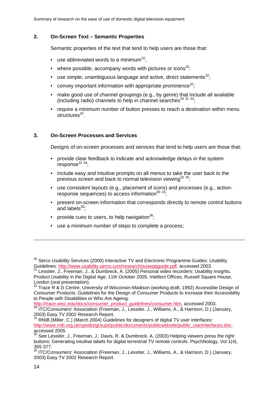#### **2. On-Screen Text – Semantic Properties**

Semantic properties of the text that tend to help users are those that:

- use abbreviated words to a minimum<sup>32</sup>;
- where possible, accompany words with pictures or icons $32$ .
- use simple, unambiguous language and active, direct statements $^{32}$ :
- convey important information with appropriate prominence<sup>32</sup>;
- make good use of channel groupings (e.g., by genre) that include all available (including radio) channels to help in channel searches $^{30}$   $^{31}$   $^{33}$ ;
- require a minimum number of button presses to reach a destination within menu  $structures<sup>32</sup>$ .

#### **3. On-Screen Processes and Services**

Designs of on-screen processes and services that tend to help users are those that:

- provide clear feedback to indicate and acknowledge delays in the system response<sup>31</sup> 34.
- include easy and intuitive prompts on all menus to take the user back to the previous screen and back to normal television viewing $32\,35$ ;
- use consistent layouts (e.g., placement of icons) and processes (e.g., actionresponse sequences) to access information  $30\,33$ .
- present on-screen information that corresponds directly to remote control buttons and labels $30$ :
- provide cues to users, to help navigation  $36$ ;
- use a minimum number of steps to complete a process;

http://trace.wisc.edu/docs/consumer\_product\_guidelines/consumer.htm, accessed 2003.

<sup>&</sup>lt;sup>30</sup> Serco Usability Services (2000) Interactive TV and Electronic Programme Guides: Usability Guidelines: http://www.usability.serco.com/research/susepgguide.pdf, accessed 2003.

<sup>&</sup>lt;sup>31</sup> Lessiter, J., Freeman, J., & Dumbreck, A. (2005) Personal video recorders: Usability insights. Product Usability in the Digital Age, 11th October 2005, Intellect Offices, Russell Square House, London (oral presentation).

 $32$  Trace R & D Centre, University of Wisconsin-Madison (working draft, 1992) Accessible Design of Consumer Products: Guidelines for the Design of Consumer Products to Increase their Accessibility to People with Disabilities or Who Are Ageing:

<sup>&</sup>lt;sup>33</sup> ITC/Consumers' Association (Freeman, J., Lessiter, J., Williams, A., & Harrison, D.) (January, 2003) Easy TV 2002 Research Report.

<sup>&</sup>lt;sup>34</sup> RNIB (Miller, C.) (March 2004) Guidelines for designers of digital TV user interfaces: http://www.rnib.org.uk/xpedio/groups/public/documents/publicwebsite/public\_userinterfaces.doc, accessed 2005.

<sup>&</sup>lt;sup>35</sup> See Lessiter, J., Freeman, J., Davis, R. & Dumbreck, A. (2003) Helping viewers press the right buttons: Generating intuitive labels for digital terrestrial TV remote controls. PsychNology, Vol 1(4), 355-377.

<sup>36</sup> ITC/Consumers' Association (Freeman, J., Lessiter, J., Williams, A., & Harrison, D.) (January, 2003) Easy TV 2002 Research Report.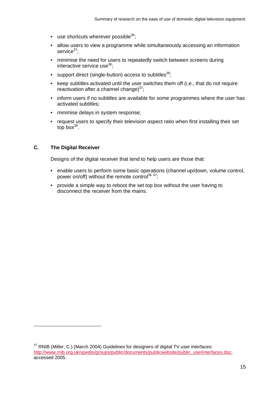- use shortcuts wherever possible $36$ ;
- allow users to view a programme while simultaneously accessing an information service<sup>37</sup>;
- minimise the need for users to repeatedly switch between screens during interactive service use $36$ :
- support direct (single-button) access to subtitles $^{36}$ ;
- keep subtitles activated until the user switches them off (i.e., that do not require reactivation after a channel change) $37$ ;
- inform users if no subtitles are available for some programmes where the user has activated subtitles;
- minimise delays in system response:
- request users to specify their television aspect ratio when first installing their set top bo $x^{36}$ .

#### **C. The Digital Receiver**

Designs of the digital receiver that tend to help users are those that:

- enable users to perform some basic operations (channel up/down, volume control, power on/off) without the remote control<sup>36</sup> 37;
- provide a simple way to reboot the set top box without the user having to disconnect the receiver from the mains.

<sup>&</sup>lt;sup>37</sup> RNIB (Miller, C.) (March 2004) Guidelines for designers of digital TV user interfaces: http://www.rnib.org.uk/xpedio/groups/public/documents/publicwebsite/public\_userinterfaces.doc, accessed 2005.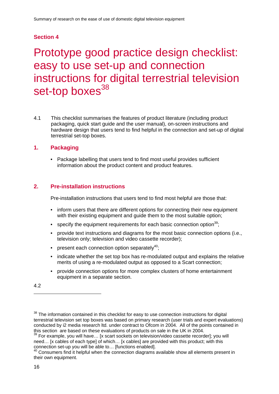# **Section 4**

# Prototype good practice design checklist: easy to use set-up and connection instructions for digital terrestrial television set-top boxes<sup>38</sup>

4.1 This checklist summarises the features of product literature (including product packaging, quick start guide and the user manual), on-screen instructions and hardware design that users tend to find helpful in the connection and set-up of digital terrestrial set-top boxes.

## **1. Packaging**

• Package labelling that users tend to find most useful provides sufficient information about the product content and product features.

## **2. Pre-installation instructions**

Pre-installation instructions that users tend to find most helpful are those that:

- inform users that there are different options for connecting their new equipment with their existing equipment and guide them to the most suitable option;
- specify the equipment requirements for each basic connection option<sup>39</sup>;
- provide text instructions and diagrams for the most basic connection options (i.e., television only; television and video cassette recorder);
- present each connection option separately $40$ ;
- indicate whether the set top box has re-modulated output and explains the relative merits of using a re-modulated output as opposed to a Scart connection;
- provide connection options for more complex clusters of home entertainment equipment in a separate section.

4.2 

 $39$  For example, you will have... [x scart sockets on television/video cassette recorder]; you will need... Ix cables of each type] of which... Ix cables] are provided with this product; with this connection set-up you will be able to… [functions enabled].

<sup>&</sup>lt;sup>38</sup> The information contained in this checklist for easy to use connection instructions for digital terrestrial television set top boxes was based on primary research (user trials and expert evaluations) conducted by i2 media research ltd. under contract to Ofcom in 2004. All of the points contained in this section are based on these evaluations of products on sale in the UK in 2004.

<sup>40</sup> Consumers find it helpful when the connection diagrams available show all elements present in their own equipment.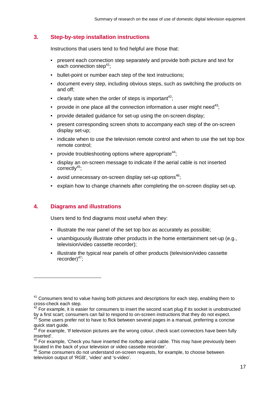## **3. Step-by-step installation instructions**

Instructions that users tend to find helpful are those that:

- present each connection step separately and provide both picture and text for each connection step $41$ :
- bullet-point or number each step of the text instructions;
- document every step, including obvious steps, such as switching the products on and off;
- clearly state when the order of steps is important<sup>42</sup>;
- provide in one place all the connection information a user might need<sup>43</sup>;
- provide detailed guidance for set-up using the on-screen display;
- present corresponding screen shots to accompany each step of the on-screen display set-up;
- indicate when to use the television remote control and when to use the set top box remote control;
- provide troubleshooting options where appropriate<sup>44</sup>:
- display an on-screen message to indicate if the aerial cable is not inserted correctly $45$ ;
- avoid unnecessary on-screen display set-up options $46$ :
- explain how to change channels after completing the on-screen display set-up.

# **4. Diagrams and illustrations**

Users tend to find diagrams most useful when they:

- illustrate the rear panel of the set top box as accurately as possible;
- unambiguously illustrate other products in the home entertainment set-up (e.g., television/video cassette recorder);
- illustrate the typical rear panels of other products (television/video cassette recorder $147$ :

<sup>&</sup>lt;sup>41</sup> Consumers tend to value having both pictures and descriptions for each step, enabling them to cross-check each step.

 $42$  For example, it is easier for consumers to insert the second scart plug if its socket is unobstructed by a first scart; consumers can fail to respond to on-screen instructions that they do not expect.<br><sup>43</sup> Some users prefer not to have to flick between several pages in a manual, preferring a concise

quick start guide.

<sup>44</sup> For example, 'If television pictures are the wrong colour, check scart connectors have been fully inserted'.

 $45$  For example, 'Check you have inserted the rooftop aerial cable. This may have previously been located in the back of your television or video cassette recorder'.

<sup>46</sup> Some consumers do not understand on-screen requests, for example, to choose between television output of 'RGB', 'video' and 's-video'.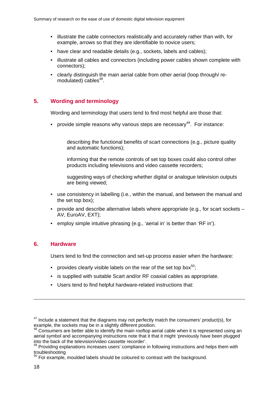- illustrate the cable connectors realistically and accurately rather than with, for example, arrows so that they are identifiable to novice users;
- have clear and readable details (e.g., sockets, labels and cables);
- illustrate all cables and connectors (including power cables shown complete with connectors);
- clearly distinguish the main aerial cable from other aerial (loop through/ remodulated) cables $48$ .

## **5. Wording and terminology**

Wording and terminology that users tend to find most helpful are those that:

• provide simple reasons why various steps are necessary<sup>49</sup>. For instance:

 describing the functional benefits of scart connections (e.g., picture quality and automatic functions);

 informing that the remote controls of set top boxes could also control other products including televisions and video cassette recorders;

 suggesting ways of checking whether digital or analogue television outputs are being viewed;

- use consistency in labelling (i.e., within the manual, and between the manual and the set top box);
- provide and describe alternative labels where appropriate (e.g., for scart sockets  $-$ AV, EuroAV, EXT);
- employ simple intuitive phrasing (e.g., 'aerial in' is better than 'RF in').

#### **6. Hardware**

Users tend to find the connection and set-up process easier when the hardware:

- provides clearly visible labels on the rear of the set top box $50$ .
- is supplied with suitable Scart and/or RF coaxial cables as appropriate.
- Users tend to find helpful hardware-related instructions that:

 $47$  Include a statement that the diagrams may not perfectly match the consumers' product(s), for example, the sockets may be in a slightly different position.

 $48$  Consumers are better able to identify the main rooftop aerial cable when it is represented using an aerial symbol and accompanying instructions note that it that it might 'previously have been plugged into the back of the television/video cassette recorder'.

<sup>&</sup>lt;sup>49</sup> Providing explanations increases users' compliance in following instructions and helps them with troubleshooting

<sup>50</sup> For example, moulded labels should be coloured to contrast with the background.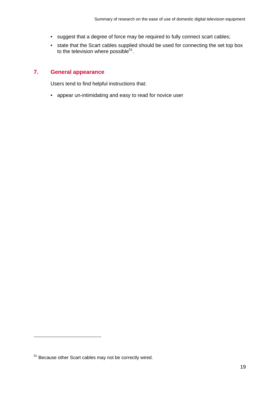- suggest that a degree of force may be required to fully connect scart cables;
- state that the Scart cables supplied should be used for connecting the set top box to the television where possible $51$ .

### **7. General appearance**

Users tend to find helpful instructions that:

• appear un-intimidating and easy to read for novice user

<sup>&</sup>lt;sup>51</sup> Because other Scart cables may not be correctly wired.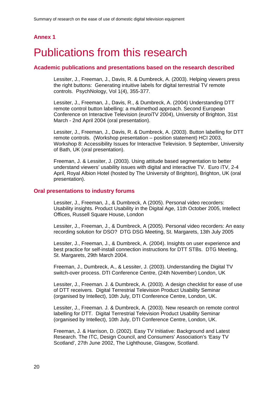# **Annex 1**

# Publications from this research

#### **Academic publications and presentations based on the research described**

 Lessiter, J., Freeman, J., Davis, R. & Dumbreck, A. (2003). Helping viewers press the right buttons: Generating intuitive labels for digital terrestrial TV remote controls. PsychNology, Vol 1(4), 355-377.

 Lessiter, J., Freeman, J., Davis, R., & Dumbreck, A. (2004) Understanding DTT remote control button labelling: a multimethod approach. Second European Conference on Interactive Television (euroiTV 2004), University of Brighton, 31st March - 2nd April 2004 (oral presentation).

 Lessiter, J., Freeman, J., Davis, R. & Dumbreck, A. (2003). Button labelling for DTT remote controls. (Workshop presentation – position statement) HCI 2003, Workshop 8: Accessibility Issues for Interactive Television. 9 September, University of Bath, UK (oral presentation).

 Freeman, J. & Lessiter, J. (2003). Using attitude based segmentation to better understand viewers' usability issues with digital and interactive TV. Euro iTV, 2-4 April, Royal Albion Hotel (hosted by The University of Brighton), Brighton, UK (oral presentation).

#### **Oral presentations to industry forums**

 Lessiter, J., Freeman, J., & Dumbreck, A (2005). Personal video recorders: Usability insights. Product Usability in the Digital Age, 11th October 2005, Intellect Offices, Russell Square House, London

 Lessiter, J., Freeman, J., & Dumbreck, A (2005). Personal video recorders: An easy recording solution for DSO? DTG DSG Meeting, St. Margarets, 13th July 2005

 Lessiter, J., Freeman, J., & Dumbreck, A. (2004). Insights on user experience and best practice for self-install connection instructions for DTT STBs. DTG Meeting, St. Margarets, 29th March 2004.

 Freeman, J., Dumbreck, A., & Lessiter, J. (2003). Understanding the Digital TV switch-over process. DTI Conference Centre, (24th November) London, UK

 Lessiter, J., Freeman. J. & Dumbreck, A. (2003). A design checklist for ease of use of DTT receivers. Digital Terrestrial Television Product Usability Seminar (organised by Intellect), 10th July, DTI Conference Centre, London, UK.

 Lessiter, J., Freeman. J. & Dumbreck, A. (2003). New research on remote control labelling for DTT. Digital Terrestrial Television Product Usability Seminar (organised by Intellect), 10th July, DTI Conference Centre, London, UK.

 Freeman, J. & Harrison, D. (2002). Easy TV Initiative: Background and Latest Research. The ITC, Design Council, and Consumers' Association's 'Easy TV Scotland', 27th June 2002, The Lighthouse, Glasgow, Scotland.